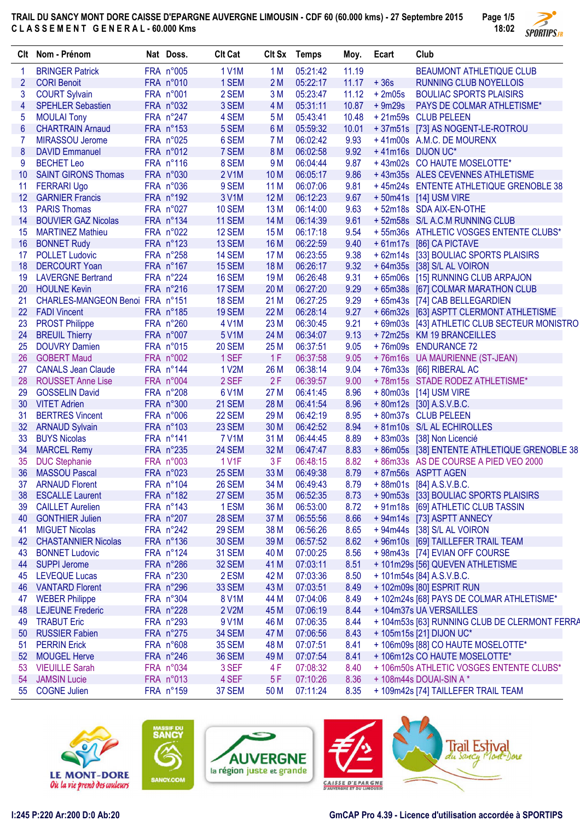**TRAIL DU SANCY MONT DORE CAISSE D'EPARGNE AUVERGNE LIMOUSIN - CDF 60 (60.000 kms) - 27 Septembre 2015 C L A S S E M E N T G E N E R A L - 60.000 Kms Page 1/5**



|                | Clt Nom - Prénom                | Nat Doss.          | <b>Clt Cat</b>   |                 | Clt Sx Temps | Moy.  | Ecart    | Club                                          |
|----------------|---------------------------------|--------------------|------------------|-----------------|--------------|-------|----------|-----------------------------------------------|
| 1              | <b>BRINGER Patrick</b>          | FRA n°005          | <b>1 V1M</b>     | 1 <sub>M</sub>  | 05:21:42     | 11.19 |          | <b>BEAUMONT ATHLETIQUE CLUB</b>               |
| $\overline{2}$ | <b>CORI Benoit</b>              | FRA n°010          | 1 SEM            | 2M              | 05:22:17     | 11.17 | $+36s$   | <b>RUNNING CLUB NOYELLOIS</b>                 |
| 3              | <b>COURT Sylvain</b>            | FRA n°001          | 2 SEM            | 3M              | 05:23:47     | 11.12 | $+2m05s$ | <b>BOULIAC SPORTS PLAISIRS</b>                |
| 4              | <b>SPEHLER Sebastien</b>        | FRA n°032          | 3 SEM            | 4 M             | 05:31:11     | 10.87 | $+9m29s$ | PAYS DE COLMAR ATHLETISME*                    |
| 5              | <b>MOULAI Tony</b>              | FRA n°247          | 4 SEM            | 5 M             | 05:43:41     | 10.48 |          | +21m59s CLUB PELEEN                           |
| 6              | <b>CHARTRAIN Arnaud</b>         | FRA n°153          | 5 SEM            | 6 M             | 05:59:32     | 10.01 |          | +37m51s [73] AS NOGENT-LE-ROTROU              |
| 7              | MIRASSOU Jerome                 | FRA n°025          | 6 SEM            | <b>7 M</b>      | 06:02:42     | 9.93  |          | +41m00s A.M.C. DE MOURENX                     |
| 8              | <b>DAVID Emmanuel</b>           | FRA n°012          | 7 SEM            | <b>8M</b>       | 06:02:58     | 9.92  |          | +41m16s DIJON UC*                             |
| 9              | <b>BECHET Leo</b>               | FRA n°116          | 8 SEM            | 9 M             | 06:04:44     | 9.87  |          | +43m02s CO HAUTE MOSELOTTE*                   |
| 10             | <b>SAINT GIRONS Thomas</b>      | FRA n°030          | 2 V1M            | 10 <sub>M</sub> | 06:05:17     | 9.86  |          | +43m35s ALES CEVENNES ATHLETISME              |
| 11             | <b>FERRARI Ugo</b>              | FRA n°036          | 9 SEM            | 11 M            | 06:07:06     | 9.81  |          | +45m24s ENTENTE ATHLETIQUE GRENOBLE 38        |
| 12             | <b>GARNIER Francis</b>          | FRA n°192          | 3 V1M            | 12 M            | 06:12:23     | 9.67  |          | +50m41s [14] USM VIRE                         |
| 13             | <b>PARIS Thomas</b>             | FRA n°027          | <b>10 SEM</b>    | 13 M            | 06:14:00     | 9.63  |          | +52m18s SDA AIX-EN-OTHE                       |
| 14             | <b>BOUVIER GAZ Nicolas</b>      | FRA n°134          | 11 SEM           | 14 M            | 06:14:39     | 9.61  |          | +52m58s S/L A.C.M RUNNING CLUB                |
| 15             | <b>MARTINEZ Mathieu</b>         | FRA n°022          | 12 SEM           | 15 M            | 06:17:18     | 9.54  |          | +55m36s ATHLETIC VOSGES ENTENTE CLUBS*        |
| 16             | <b>BONNET Rudy</b>              | FRA n°123          | 13 SEM           | 16 M            | 06:22:59     | 9.40  |          | +61m17s [86] CA PICTAVE                       |
| 17             | <b>POLLET Ludovic</b>           | FRA n°258          | 14 SEM           | 17 M            | 06:23:55     | 9.38  |          | + 62m14s [33] BOULIAC SPORTS PLAISIRS         |
| 18             | <b>DERCOURT Yoan</b>            | FRA n°167          | 15 SEM           | <b>18 M</b>     | 06:26:17     | 9.32  |          | + 64m35s [38] S/L AL VOIRON                   |
| 19             | <b>LAVERGNE Bertrand</b>        | FRA n°224          | 16 SEM           | 19 <sub>M</sub> | 06:26:48     | 9.31  |          | + 65m06s [15] RUNNING CLUB ARPAJON            |
| 20             | <b>HOULNE Kevin</b>             | FRA n°216          | 17 SEM           | 20 M            | 06:27:20     | 9.29  |          | + 65m38s [67] COLMAR MARATHON CLUB            |
| 21             | CHARLES-MANGEON Benoi FRA n°151 |                    | <b>18 SEM</b>    | 21 M            | 06:27:25     | 9.29  |          | + 65m43s [74] CAB BELLEGARDIEN                |
| 22             | <b>FADI Vincent</b>             | FRA n°185          | <b>19 SEM</b>    | 22 M            | 06:28:14     | 9.27  |          | + 66m32s [63] ASPTT CLERMONT ATHLETISME       |
| 23             | <b>PROST Philippe</b>           | FRA n°260          | 4 V1M            | 23 M            | 06:30:45     | 9.21  |          | + 69m03s [43] ATHLETIC CLUB SECTEUR MONISTRO  |
| 24             | <b>BREUIL Thierry</b>           | FRA n°007          | 5 V1M            | 24 M            | 06:34:07     | 9.13  |          | +72m25s KM 19 BRANCEILLES                     |
| 25             | <b>DOUVRY Damien</b>            | FRA n°015          | <b>20 SEM</b>    | 25 M            | 06:37:51     | 9.05  |          | +76m09s ENDURANCE 72                          |
| 26             | <b>GOBERT Maud</b>              | FRA n°002          | 1 SEF            | 1F              | 06:37:58     | 9.05  |          | +76m16s UA MAURIENNE (ST-JEAN)                |
| 27             | <b>CANALS Jean Claude</b>       | FRA n°144          | 1 V2M            | 26 M            | 06:38:14     | 9.04  |          | +76m33s [66] RIBERAL AC                       |
| 28             | <b>ROUSSET Anne Lise</b>        | FRA n°004          | 2 SEF            | 2F              | 06:39:57     | 9.00  |          | +78m15s STADE RODEZ ATHLETISME*               |
| 29             | <b>GOSSELIN David</b>           | FRA n°208          | 6 V1M            | 27 M            | 06:41:45     | 8.96  |          | + 80m03s [14] USM VIRE                        |
| 30             | <b>VITET Adrien</b>             | FRA n°300          | <b>21 SEM</b>    | 28 M            | 06:41:54     | 8.96  |          | +80m12s [30] A.S.V.B.C.                       |
| 31             | <b>BERTRES Vincent</b>          | FRA n°006          | 22 SEM           | 29 M            | 06:42:19     | 8.95  |          | +80m37s CLUB PELEEN                           |
| 32             | <b>ARNAUD Sylvain</b>           | FRA n°103          | 23 SEM           | 30 M            | 06:42:52     | 8.94  |          | + 81m10s S/L AL ECHIROLLES                    |
| 33             | <b>BUYS Nicolas</b>             | FRA n°141          | <b>7 V1M</b>     | 31 M            | 06:44:45     | 8.89  |          | + 83m03s [38] Non Licencié                    |
| 34             | <b>MARCEL Remy</b>              | FRA n°235          | 24 SEM           | 32 M            | 06:47:47     | 8.83  |          | +86m05s [38] ENTENTE ATHLETIQUE GRENOBLE 38   |
| 35             | <b>DUC Stephanie</b>            | FRA n°003          | 1 V1F            | 3F              | 06:48:15     | 8.82  |          | + 86m33s AS DE COURSE A PIED VEO 2000         |
| 36             | <b>MASSOU Pascal</b>            | FRA n°023          | 25 SEM           | 33 M            | 06:49:38     | 8.79  |          | + 87m56s ASPTT AGEN                           |
| 37             | <b>ARNAUD Florent</b>           | FRA n°104          | 26 SEM           | 34 M            | 06:49:43     | 8.79  |          | +88m01s [84] A.S.V.B.C.                       |
| 38             | <b>ESCALLE Laurent</b>          | FRA n°182          | 27 SEM           | 35 M            | 06:52:35     | 8.73  |          | + 90m53s [33] BOULIAC SPORTS PLAISIRS         |
| 39             | <b>CAILLET Aurelien</b>         | FRA n°143          | 1 <sub>ESM</sub> | 36 M            | 06:53:00     | 8.72  |          | +91m18s [69] ATHLETIC CLUB TASSIN             |
| 40             | <b>GONTHIER Julien</b>          | FRA n°207          | <b>28 SEM</b>    | 37 M            | 06:55:56     | 8.66  |          | +94m14s [73] ASPTT ANNECY                     |
| 41             | <b>MIGUET Nicolas</b>           | $FRA n^{\circ}242$ | <b>29 SEM</b>    | 38 M            | 06:56:26     | 8.65  |          | + 94m44s [38] S/L AL VOIRON                   |
| 42             | <b>CHASTANNIER Nicolas</b>      | FRA n°136          | <b>30 SEM</b>    | 39 M            | 06:57:52     | 8.62  |          | + 96m10s [69] TAILLEFER TRAIL TEAM            |
| 43             | <b>BONNET Ludovic</b>           | FRA n°124          | <b>31 SEM</b>    | 40 M            | 07:00:25     | 8.56  |          | +98m43s [74] EVIAN OFF COURSE                 |
| 44             | <b>SUPPI Jerome</b>             | FRA n°286          | <b>32 SEM</b>    | 41 M            | 07:03:11     | 8.51  |          | + 101m29s [56] QUEVEN ATHLETISME              |
| 45             | <b>LEVEQUE Lucas</b>            | FRA n°230          | 2 ESM            | 42 M            | 07:03:36     | 8.50  |          | + 101m54s [84] A.S.V.B.C.                     |
| 46             | <b>VANTARD Florent</b>          | FRA n°296          | <b>33 SEM</b>    | 43 M            | 07:03:51     | 8.49  |          | + 102m09s [80] ESPRIT RUN                     |
| 47             | <b>WEBER Philippe</b>           | FRA n°304          | 8 V1M            | 44 M            | 07:04:06     | 8.49  |          | + 102m24s [68] PAYS DE COLMAR ATHLETISME*     |
| 48             | <b>LEJEUNE Frederic</b>         | FRA n°228          | 2 V2M            | 45 M            | 07:06:19     | 8.44  |          | +104m37s UA VERSAILLES                        |
| 49             | <b>TRABUT Eric</b>              | FRA n°293          | 9 V1M            | 46 M            | 07:06:35     | 8.44  |          | + 104m53s [63] RUNNING CLUB DE CLERMONT FERRA |
| 50             | <b>RUSSIER Fabien</b>           | FRA n°275          | <b>34 SEM</b>    | 47 M            | 07:06:56     | 8.43  |          | + 105m15s [21] DIJON UC*                      |
| 51             | <b>PERRIN Erick</b>             | FRA n°608          | <b>35 SEM</b>    | 48 M            | 07:07:51     | 8.41  |          | + 106m09s [88] CO HAUTE MOSELOTTE*            |
| 52             | <b>MOUGEL Herve</b>             | FRA n°246          | <b>36 SEM</b>    | 49 M            | 07:07:54     | 8.41  |          | +106m12s CO HAUTE MOSELOTTE*                  |
| 53             | <b>VIEUILLE Sarah</b>           | FRA n°034          | 3 SEF            | 4 F             | 07:08:32     | 8.40  |          | + 106m50s ATHLETIC VOSGES ENTENTE CLUBS*      |
| 54             | <b>JAMSIN Lucie</b>             | FRA n°013          | 4 SEF            | 5F              | 07:10:26     | 8.36  |          | +108m44s DOUAI-SIN A*                         |
| 55             | <b>COGNE Julien</b>             | FRA n°159          | 37 SEM           | 50 M            | 07:11:24     | 8.35  |          | + 109m42s [74] TAILLEFER TRAIL TEAM           |









**I:245 P:220 Ar:200 D:0 Ab:20 GmCAP Pro 4.39 - Licence d'utilisation accordée à SPORTIPS**

va

Mé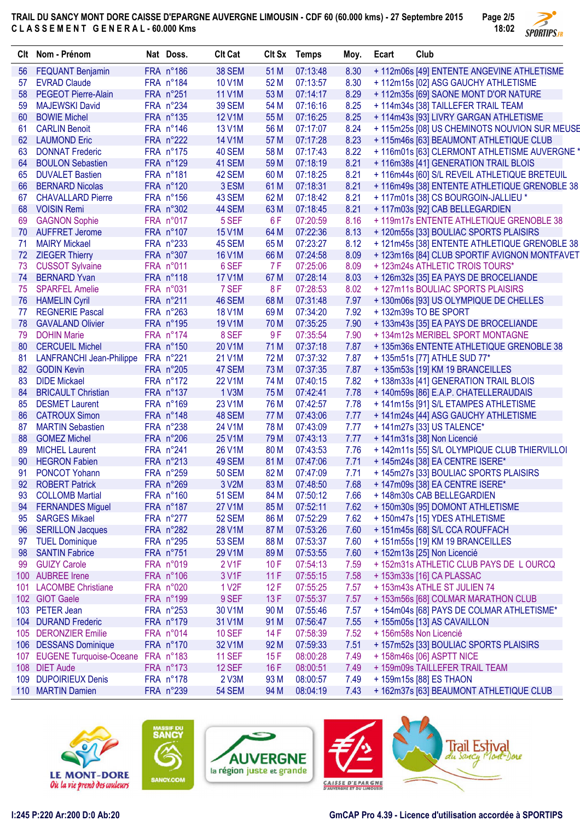**TRAIL DU SANCY MONT DORE CAISSE D'EPARGNE AUVERGNE LIMOUSIN - CDF 60 (60.000 kms) - 27 Septembre 2015 C L A S S E M E N T G E N E R A L - 60.000 Kms**



| Clt | Nom - Prénom                          | Nat Doss.          | <b>Clt Cat</b>      | CIt Sx | <b>Temps</b> | Moy. | Ecart | Club                                          |
|-----|---------------------------------------|--------------------|---------------------|--------|--------------|------|-------|-----------------------------------------------|
| 56  | <b>FEQUANT Benjamin</b>               | FRA n°186          | <b>38 SEM</b>       | 51 M   | 07:13:48     | 8.30 |       | + 112m06s [49] ENTENTE ANGEVINE ATHLETISME    |
| 57  | <b>EVRAD Claude</b>                   | FRA n°184          | 10 V1M              | 52 M   | 07:13:57     | 8.30 |       | +112m15s [02] ASG GAUCHY ATHLETISME           |
| 58  | <b>PEGEOT Pierre-Alain</b>            | FRA n°251          | <b>11 V1M</b>       | 53 M   | 07:14:17     | 8.29 |       | + 112m35s [69] SAONE MONT D'OR NATURE         |
| 59  | <b>MAJEWSKI David</b>                 | FRA n°234          | <b>39 SEM</b>       | 54 M   | 07:16:16     | 8.25 |       | + 114m34s [38] TAILLEFER TRAIL TEAM           |
| 60  | <b>BOWIE Michel</b>                   | $FRA n^{\circ}135$ | <b>12 V1M</b>       | 55 M   | 07:16:25     | 8.25 |       | + 114m43s [93] LIVRY GARGAN ATHLETISME        |
| 61  | <b>CARLIN Benoit</b>                  | FRA n°146          | 13 V1M              | 56 M   | 07:17:07     | 8.24 |       | + 115m25s [08] US CHEMINOTS NOUVION SUR MEUSE |
| 62  | <b>LAUMOND Eric</b>                   | FRA n°222          | <b>14 V1M</b>       | 57 M   | 07:17:28     | 8.23 |       | + 115m46s [63] BEAUMONT ATHLETIQUE CLUB       |
| 63  | <b>DONNAT Frederic</b>                | FRA n°175          | 40 SEM              | 58 M   | 07:17:43     | 8.22 |       | + 116m01s [63] CLERMONT ATHLETISME AUVERGNE * |
| 64  | <b>BOULON Sebastien</b>               | FRA n°129          | 41 SEM              | 59 M   | 07:18:19     | 8.21 |       | +116m38s [41] GENERATION TRAIL BLOIS          |
| 65  | <b>DUVALET Bastien</b>                | FRA n°181          | 42 SEM              | 60 M   | 07:18:25     | 8.21 |       | +116m44s [60] S/L REVEIL ATHLETIQUE BRETEUIL  |
| 66  | <b>BERNARD Nicolas</b>                | FRA n°120          | 3 ESM               | 61 M   | 07:18:31     | 8.21 |       | + 116m49s [38] ENTENTE ATHLETIQUE GRENOBLE 38 |
| 67  | <b>CHAVALLARD Pierre</b>              | FRA n°156          | 43 SEM              | 62 M   | 07:18:42     | 8.21 |       | +117m01s [38] CS BOURGOIN-JALLIEU *           |
| 68  | <b>VOISIN Remi</b>                    | FRA n°302          | 44 SEM              | 63 M   | 07:18:45     | 8.21 |       | + 117m03s [92] CAB BELLEGARDIEN               |
| 69  | <b>GAGNON Sophie</b>                  | FRA n°017          | 5 SEF               | 6F     | 07:20:59     | 8.16 |       | + 119m17s ENTENTE ATHLETIQUE GRENOBLE 38      |
| 70  | <b>AUFFRET Jerome</b>                 | FRA n°107          | <b>15 V1M</b>       | 64 M   | 07:22:36     | 8.13 |       | + 120m55s [33] BOULIAC SPORTS PLAISIRS        |
| 71  | <b>MAIRY Mickael</b>                  | FRA n°233          | 45 SEM              | 65 M   | 07:23:27     | 8.12 |       | + 121m45s [38] ENTENTE ATHLETIQUE GRENOBLE 38 |
| 72  | <b>ZIEGER Thierry</b>                 | FRA n°307          | <b>16 V1M</b>       | 66 M   | 07:24:58     | 8.09 |       | + 123m16s [84] CLUB SPORTIF AVIGNON MONTFAVET |
| 73  | <b>CUSSOT Sylvaine</b>                | FRA n°011          | 6 SEF               | 7 F    | 07:25:06     | 8.09 |       | + 123m24s ATHLETIC TROIS TOURS*               |
|     | <b>BERNARD Yvan</b>                   |                    |                     |        | 07:28:14     |      |       |                                               |
| 74  |                                       | FRA n°118          | <b>17 V1M</b>       | 67 M   |              | 8.03 |       | + 126m32s [35] EA PAYS DE BROCELIANDE         |
| 75  | <b>SPARFEL Amelie</b>                 | FRA n°031          | 7 SEF               | 8F     | 07:28:53     | 8.02 |       | +127m11s BOULIAC SPORTS PLAISIRS              |
| 76  | <b>HAMELIN Cyril</b>                  | FRA n°211          | 46 SEM              | 68 M   | 07:31:48     | 7.97 |       | + 130m06s [93] US OLYMPIQUE DE CHELLES        |
| 77  | <b>REGNERIE Pascal</b>                | FRA n°263          | <b>18 V1M</b>       | 69 M   | 07:34:20     | 7.92 |       | +132m39s TO BE SPORT                          |
| 78  | <b>GAVALAND Olivier</b>               | FRA n°195          | <b>19 V1M</b>       | 70 M   | 07:35:25     | 7.90 |       | + 133m43s [35] EA PAYS DE BROCELIANDE         |
| 79  | <b>DOHIN Marie</b>                    | FRA n°174          | 8 SEF               | 9F     | 07:35:54     | 7.90 |       | + 134m12s MERIBEL SPORT MONTAGNE              |
| 80  | <b>CERCUEIL Michel</b>                | FRA n°150          | 20 V1M              | 71 M   | 07:37:18     | 7.87 |       | + 135m36s ENTENTE ATHLETIQUE GRENOBLE 38      |
| 81  | LANFRANCHI Jean-Philippe FRA n°221    |                    | 21 V1M              | 72 M   | 07:37:32     | 7.87 |       | + 135m51s [77] ATHLE SUD 77*                  |
| 82  | <b>GODIN Kevin</b>                    | FRA n°205          | 47 SEM              | 73 M   | 07:37:35     | 7.87 |       | + 135m53s [19] KM 19 BRANCEILLES              |
| 83  | <b>DIDE Mickael</b>                   | FRA n°172          | <b>22 V1M</b>       | 74 M   | 07:40:15     | 7.82 |       | + 138m33s [41] GENERATION TRAIL BLOIS         |
| 84  | <b>BRICAULT Christian</b>             | FRA n°137          | 1 V3M               | 75 M   | 07:42:41     | 7.78 |       | + 140m59s [86] E.A.P. CHATELLERAUDAIS         |
| 85  | <b>DESMET Laurent</b>                 | $FRA$ n°169        | 23 V1M              | 76 M   | 07:42:57     | 7.78 |       | + 141m15s [91] S/L ETAMPES ATHLETISME         |
| 86  | <b>CATROUX Simon</b>                  | FRA n°148          | 48 SEM              | 77 M   | 07:43:06     | 7.77 |       | + 141m24s [44] ASG GAUCHY ATHLETISME          |
| 87  | <b>MARTIN Sebastien</b>               | FRA n°238          | 24 V1M              | 78 M   | 07:43:09     | 7.77 |       | + 141m27s [33] US TALENCE*                    |
| 88  | <b>GOMEZ Michel</b>                   | FRA n°206          | 25 V1M              | 79 M   | 07:43:13     | 7.77 |       | + 141m31s [38] Non Licencié                   |
| 89  | <b>MICHEL Laurent</b>                 | FRA n°241          | 26 V1M              | 80 M   | 07:43:53     | 7.76 |       | + 142m11s [55] S/L OLYMPIQUE CLUB THIERVILLOI |
| 90  | <b>HEGRON Fabien</b>                  | FRA n°213          | 49 SEM              | 81 M   | 07:47:06     | 7.71 |       | +145m24s [38] EA CENTRE ISERE*                |
| 91  | <b>PONCOT Yohann</b>                  | FRA n°259          | <b>50 SEM</b>       | 82 M   | 07:47:09     | 7.71 |       | + 145m27s [33] BOULIAC SPORTS PLAISIRS        |
|     | 92 ROBERT Patrick                     | FRA n°269          | 3 V2M               | 83 M   | 07:48:50     | 7.68 |       | + 147m09s [38] EA CENTRE ISERE*               |
| 93  | <b>COLLOMB Martial</b>                | FRA n°160          | <b>51 SEM</b>       | 84 M   | 07:50:12     | 7.66 |       | + 148m30s CAB BELLEGARDIEN                    |
| 94  | <b>FERNANDES Miguel</b>               | FRA n°187          | <b>27 V1M</b>       | 85 M   | 07:52:11     | 7.62 |       | + 150m30s [95] DOMONT ATHLETISME              |
| 95  | <b>SARGES Mikael</b>                  | FRA n°277          | <b>52 SEM</b>       | 86 M   | 07:52:29     | 7.62 |       | + 150m47s [15] YDES ATHLETISME                |
| 96  | <b>SERILLON Jacques</b>               | FRA n°282          | 28 V1M              | 87 M   | 07:53:26     | 7.60 |       | + 151m45s [68] S/L CCA ROUFFACH               |
| 97  | <b>TUEL Dominique</b>                 | FRA n°295          | <b>53 SEM</b>       | 88 M   | 07:53:37     | 7.60 |       | + 151m55s [19] KM 19 BRANCEILLES              |
| 98  | <b>SANTIN Fabrice</b>                 | FRA n°751          | 29 V1M              | 89 M   | 07:53:55     | 7.60 |       | + 152m13s [25] Non Licencié                   |
| 99  | <b>GUIZY Carole</b>                   | FRA n°019          | 2 V1F               | 10F    | 07:54:13     | 7.59 |       | + 152m31s ATHLETIC CLUB PAYS DE L OURCQ       |
|     | 100 AUBREE Irene                      | FRA n°106          | 3 V1F               | 11F    | 07:55:15     | 7.58 |       | + 153m33s [16] CA PLASSAC                     |
| 101 | <b>LACOMBE Christiane</b>             | FRA n°020          | 1 V <sub>2</sub> F  | 12F    | 07:55:25     | 7.57 |       | + 153m43s ATHLE ST JULIEN 74                  |
|     | 102 GIOT Gaele                        | FRA n°199          | 9 SEF               | 13F    | 07:55:37     | 7.57 |       | + 153m56s [68] COLMAR MARATHON CLUB           |
|     | 103 PETER Jean                        | FRA n°253          | 30 V1M              | 90 M   | 07:55:46     | 7.57 |       | + 154m04s [68] PAYS DE COLMAR ATHLETISME*     |
|     | 104 DURAND Frederic                   | FRA n°179          | 31 V1M              | 91 M   | 07:56:47     | 7.55 |       | + 155m05s [13] AS CAVAILLON                   |
|     | 105 DERONZIER Emilie                  | FRA n°014          | <b>10 SEF</b>       | 14 F   | 07:58:39     | 7.52 |       | + 156m58s Non Licencié                        |
|     | 106 DESSANS Dominique                 | FRA n°170          | 32 V <sub>1</sub> M | 92 M   | 07:59:33     | 7.51 |       | + 157m52s [33] BOULIAC SPORTS PLAISIRS        |
|     | 107 EUGENE Turquoise-Oceane FRA n°183 |                    | <b>11 SEF</b>       | 15F    | 08:00:28     | 7.49 |       | + 158m46s [06] ASPTT NICE                     |
|     | 108 DIET Aude                         | FRA n°173          | <b>12 SEF</b>       | 16F    | 08:00:51     | 7.49 |       | + 159m09s TAILLEFER TRAIL TEAM                |
|     | 109 DUPOIRIEUX Denis                  | FRA n°178          | 2 V3M               | 93 M   | 08:00:57     | 7.49 |       | + 159m15s [88] ES THAON                       |
|     | 110 MARTIN Damien                     | FRA n°239          | <b>54 SEM</b>       | 94 M   | 08:04:19     | 7.43 |       | + 162m37s [63] BEAUMONT ATHLETIQUE CLUB       |
|     |                                       |                    |                     |        |              |      |       |                                               |









va

Mé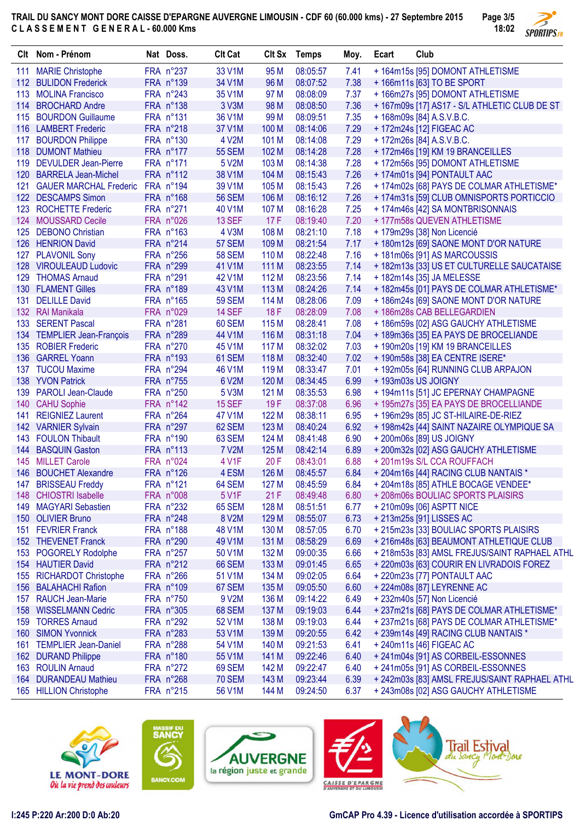**TRAIL DU SANCY MONT DORE CAISSE D'EPARGNE AUVERGNE LIMOUSIN - CDF 60 (60.000 kms) - 27 Septembre 2015 C L A S S E M E N T G E N E R A L - 60.000 Kms Page 3/5**



|     | Clt Nom - Prénom              | Nat Doss.   | <b>Clt Cat</b> |       | Clt Sx Temps | Moy. | Ecart | Club                                          |
|-----|-------------------------------|-------------|----------------|-------|--------------|------|-------|-----------------------------------------------|
| 111 | <b>MARIE Christophe</b>       | FRA n°237   | 33 V1M         | 95 M  | 08:05:57     | 7.41 |       | + 164m15s [95] DOMONT ATHLETISME              |
|     | 112 BULIDON Frederick         | FRA n°139   | 34 V1M         | 96 M  | 08:07:52     | 7.38 |       | + 166m11s [63] TO BE SPORT                    |
| 113 | <b>MOLINA Francisco</b>       | FRA n°243   | 35 V1M         | 97 M  | 08:08:09     | 7.37 |       | + 166m27s [95] DOMONT ATHLETISME              |
| 114 | <b>BROCHARD Andre</b>         | FRA n°138   | 3 V3M          | 98 M  | 08:08:50     | 7.36 |       | + 167m09s [17] AS17 - S/L ATHLETIC CLUB DE ST |
| 115 | <b>BOURDON Guillaume</b>      | FRA n°131   | 36 V1M         | 99 M  | 08:09:51     | 7.35 |       | +168m09s [84] A.S.V.B.C.                      |
| 116 | <b>LAMBERT Frederic</b>       | FRA n°218   | 37 V1M         | 100 M | 08:14:06     | 7.29 |       | + 172m24s [12] FIGEAC AC                      |
| 117 | <b>BOURDON Philippe</b>       | FRA n°130   | 4 V2M          | 101 M | 08:14:08     | 7.29 |       | +172m26s [84] A.S.V.B.C.                      |
| 118 | <b>DUMONT Mathieu</b>         | FRA n°177   | <b>55 SEM</b>  | 102 M | 08:14:28     | 7.28 |       | + 172m46s [19] KM 19 BRANCEILLES              |
| 119 | <b>DEVULDER Jean-Pierre</b>   | FRA n°171   | 5 V2M          | 103 M | 08:14:38     | 7.28 |       | + 172m56s [95] DOMONT ATHLETISME              |
| 120 | <b>BARRELA Jean-Michel</b>    | FRA n°112   | 38 V1M         | 104 M | 08:15:43     | 7.26 |       | +174m01s [94] PONTAULT AAC                    |
| 121 | <b>GAUER MARCHAL Frederic</b> | FRA n°194   | 39 V1M         | 105 M | 08:15:43     | 7.26 |       | +174m02s [68] PAYS DE COLMAR ATHLETISME*      |
| 122 | <b>DESCAMPS Simon</b>         | FRA n°168   | <b>56 SEM</b>  | 106 M | 08:16:12     | 7.26 |       | +174m31s [59] CLUB OMNISPORTS PORTICCIO       |
| 123 | <b>ROCHETTE Frederic</b>      | FRA n°271   | 40 V1M         | 107 M | 08:16:28     | 7.25 |       | + 174m46s [42] SA MONTBRISONNAIS              |
| 124 | <b>MOUSSARD Cecile</b>        | FRA n°026   | 13 SEF         | 17F   | 08:19:40     | 7.20 |       | + 177m58s QUEVEN ATHLETISME                   |
| 125 | <b>DEBONO Christian</b>       | FRA n°163   | 4 V3M          | 108 M | 08:21:10     | 7.18 |       | + 179m29s [38] Non Licencié                   |
| 126 | <b>HENRION David</b>          | FRA n°214   | <b>57 SEM</b>  | 109 M | 08:21:54     | 7.17 |       | + 180m12s [69] SAONE MONT D'OR NATURE         |
| 127 | <b>PLAVONIL Sony</b>          | FRA n°256   | <b>58 SEM</b>  | 110 M | 08:22:48     | 7.16 |       | +181m06s [91] AS MARCOUSSIS                   |
| 128 | <b>VIROULEAUD Ludovic</b>     | FRA n°299   | 41 V1M         | 111 M | 08:23:55     | 7.14 |       | + 182m13s [33] US ET CULTURELLE SAUCATAISE    |
| 129 | <b>THOMAS Arnaud</b>          | FRA n°291   | 42 V1M         | 112 M | 08:23:56     | 7.14 |       | + 182m14s [35] JA MELESSE                     |
| 130 | <b>FLAMENT Gilles</b>         | FRA n°189   | 43 V1M         | 113 M | 08:24:26     | 7.14 |       | + 182m45s [01] PAYS DE COLMAR ATHLETISME*     |
| 131 | <b>DELILLE David</b>          | FRA n°165   | <b>59 SEM</b>  | 114 M | 08:28:06     | 7.09 |       | + 186m24s [69] SAONE MONT D'OR NATURE         |
|     | 132 RAI Manikala              | FRA n°029   | <b>14 SEF</b>  | 18 F  | 08:28:09     | 7.08 |       | +186m28s CAB BELLEGARDIEN                     |
| 133 | <b>SERENT Pascal</b>          | FRA n°281   | 60 SEM         | 115 M | 08:28:41     | 7.08 |       | + 186m59s [02] ASG GAUCHY ATHLETISME          |
|     | 134 TEMPLIER Jean-François    | FRA n°289   | 44 V1M         | 116 M | 08:31:18     | 7.04 |       | +189m36s [35] EA PAYS DE BROCELIANDE          |
| 135 | <b>ROBIER Frederic</b>        | FRA n°270   | 45 V1M         | 117 M | 08:32:02     | 7.03 |       | + 190m20s [19] KM 19 BRANCEILLES              |
| 136 | <b>GARREL Yoann</b>           | FRA n°193   | 61 SEM         | 118 M | 08:32:40     | 7.02 |       | +190m58s [38] EA CENTRE ISERE*                |
| 137 | <b>TUCOU Maxime</b>           | FRA n°294   | 46 V1M         | 119 M | 08:33:47     | 7.01 |       | + 192m05s [64] RUNNING CLUB ARPAJON           |
| 138 | <b>YVON Patrick</b>           | FRA n°755   | 6 V2M          | 120 M | 08:34:45     | 6.99 |       | +193m03s US JOIGNY                            |
| 139 | <b>PAROLI Jean-Claude</b>     | FRA n°250   | 5 V3M          | 121 M | 08:35:53     | 6.98 |       | + 194m11s [51] JC EPERNAY CHAMPAGNE           |
|     | 140 CAHU Sophie               | FRA n°142   | <b>15 SEF</b>  | 19F   | 08:37:08     | 6.96 |       | +195m27s [35] EA PAYS DE BROCELLIANDE         |
| 141 | <b>REIGNIEZ Laurent</b>       | FRA n°264   | 47 V1M         | 122 M | 08:38:11     | 6.95 |       | + 196m29s [85] JC ST-HILAIRE-DE-RIEZ          |
|     | 142 VARNIER Sylvain           | FRA n°297   | 62 SEM         | 123 M | 08:40:24     | 6.92 |       | + 198m42s [44] SAINT NAZAIRE OLYMPIQUE SA     |
| 143 | <b>FOULON Thibault</b>        | FRA n°190   | 63 SEM         | 124 M | 08:41:48     | 6.90 |       | +200m06s [89] US JOIGNY                       |
| 144 | <b>BASQUIN Gaston</b>         | FRA n°113   | <b>7 V2M</b>   | 125 M | 08:42:14     | 6.89 |       | + 200m32s [02] ASG GAUCHY ATHLETISME          |
| 145 | <b>MILLET Carole</b>          | FRA n°024   | 4 V1F          | 20F   | 08:43:01     | 6.88 |       | +201m19s S/L CCA ROUFFACH                     |
| 146 | <b>BOUCHET Alexandre</b>      | FRA n°126   | 4 ESM          | 126 M | 08:45:57     | 6.84 |       | + 204m16s [44] RACING CLUB NANTAIS *          |
| 147 | <b>BRISSEAU Freddy</b>        | $FRA$ n°121 | 64 SEM         | 127 M | 08:45:59     | 6.84 |       | + 204m18s [85] ATHLE BOCAGE VENDEE*           |
| 148 | <b>CHIOSTRI Isabelle</b>      | FRA n°008   | 5 V1F          | 21F   | 08:49:48     | 6.80 |       | +208m06s BOULIAC SPORTS PLAISIRS              |
| 149 | <b>MAGYARI Sebastien</b>      | FRA n°232   | 65 SEM         | 128 M | 08:51:51     | 6.77 |       | + 210m09s [06] ASPTT NICE                     |
|     | 150 OLIVIER Bruno             | FRA n°248   | 8 V2M          | 129 M | 08:55:07     | 6.73 |       | + 213m25s [91] LISSES AC                      |
|     | 151 FEVRIER Franck            | FRA n°188   | 48 V1M         | 130 M | 08:57:05     | 6.70 |       | + 215m23s [33] BOULIAC SPORTS PLAISIRS        |
|     | 152 THEVENET Franck           | FRA n°290   | 49 V1M         | 131 M | 08:58:29     | 6.69 |       | + 216m48s [63] BEAUMONT ATHLETIQUE CLUB       |
|     | 153 POGORELY Rodolphe         | FRA n°257   | 50 V1M         | 132 M | 09:00:35     | 6.66 |       | + 218m53s [83] AMSL FREJUS/SAINT RAPHAEL ATHL |
|     | 154 HAUTIER David             | FRA n°212   | 66 SEM         | 133 M | 09:01:45     | 6.65 |       | + 220m03s [63] COURIR EN LIVRADOIS FOREZ      |
|     | 155 RICHARDOT Christophe      | FRA n°266   | 51 V1M         | 134 M | 09:02:05     | 6.64 |       | +220m23s [77] PONTAULT AAC                    |
|     | 156 BALAHACHI Rafion          | FRA n°109   | 67 SEM         | 135 M | 09:05:50     | 6.60 |       | + 224m08s [87] LEYRENNE AC                    |
|     | 157 RAUCH Jean-Marie          | FRA n°750   | 9 V2M          | 136 M | 09:14:22     | 6.49 |       | + 232m40s [57] Non Licencié                   |
|     | 158 WISSELMANN Cedric         | FRA n°305   | 68 SEM         | 137 M | 09:19:03     | 6.44 |       | + 237m21s [68] PAYS DE COLMAR ATHLETISME*     |
|     | 159 TORRES Arnaud             | FRA n°292   | 52 V1M         | 138 M | 09:19:03     | 6.44 |       | + 237m21s [68] PAYS DE COLMAR ATHLETISME*     |
|     | 160 SIMON Yvonnick            | FRA n°283   | 53 V1M         | 139 M | 09:20:55     | 6.42 |       | + 239m14s [49] RACING CLUB NANTAIS *          |
|     | 161 TEMPLIER Jean-Daniel      | FRA n°288   | 54 V1M         | 140 M | 09:21:53     | 6.41 |       | + 240m11s [46] FIGEAC AC                      |
|     | 162 DURAND Philippe           | FRA n°180   | 55 V1M         | 141 M | 09:22:46     | 6.40 |       | +241m04s [91] AS CORBEIL-ESSONNES             |
|     | 163 ROULIN Arnaud             | FRA n°272   | <b>69 SEM</b>  | 142 M | 09:22:47     | 6.40 |       | + 241m05s [91] AS CORBEIL-ESSONNES            |
|     | 164 DURANDEAU Mathieu         | FRA n°268   | <b>70 SEM</b>  | 143 M | 09:23:44     | 6.39 |       | + 242m03s [83] AMSL FREJUS/SAINT RAPHAEL ATHL |
|     | 165 HILLION Christophe        | FRA n°215   | 56 V1M         | 144 M | 09:24:50     | 6.37 |       | + 243m08s [02] ASG GAUCHY ATHLETISME          |









**I:245 P:220 Ar:200 D:0 Ab:20 GmCAP Pro 4.39 - Licence d'utilisation accordée à SPORTIPS**

ne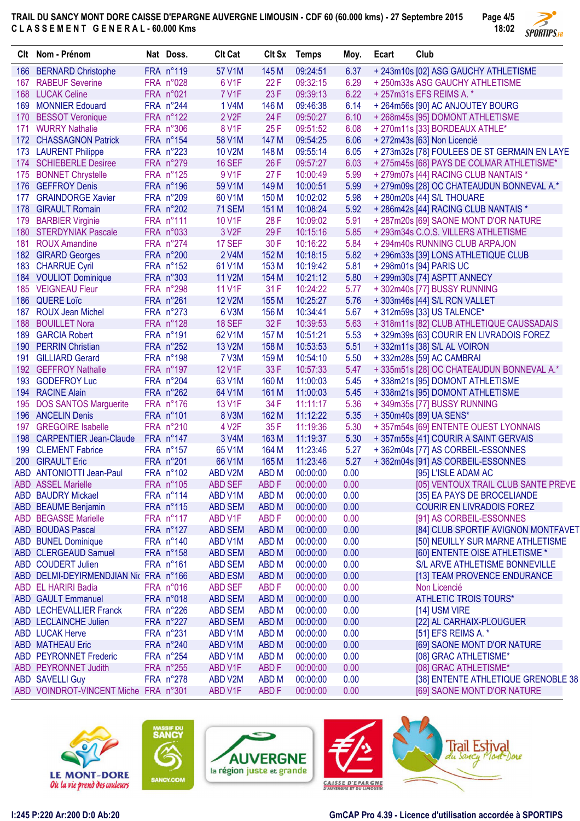**TRAIL DU SANCY MONT DORE CAISSE D'EPARGNE AUVERGNE LIMOUSIN - CDF 60 (60.000 kms) - 27 Septembre 2015 C L A S S E M E N T G E N E R A L - 60.000 Kms Page 4/5**



|     | Clt Nom - Prénom                      | Nat Doss.          | <b>Clt Cat</b>     |                  | Clt Sx Temps | Moy.         | Ecart | Club                                         |
|-----|---------------------------------------|--------------------|--------------------|------------------|--------------|--------------|-------|----------------------------------------------|
| 166 | <b>BERNARD Christophe</b>             | FRA n°119          | 57 V1M             | 145 M            | 09:24:51     | 6.37         |       | + 243m10s [02] ASG GAUCHY ATHLETISME         |
| 167 | <b>RABEUF Severine</b>                | FRA n°028          | 6 V1F              | 22F              | 09:32:15     | 6.29         |       | +250m33s ASG GAUCHY ATHLETISME               |
| 168 | <b>LUCAK Celine</b>                   | FRA n°021          | 7 V1F              | 23 F             | 09:39:13     | 6.22         |       | + 257m31s EFS REIMS A. *                     |
| 169 | <b>MONNIER Edouard</b>                | FRA n°244          | 1 V4M              | 146 M            | 09:46:38     | 6.14         |       | + 264m56s [90] AC ANJOUTEY BOURG             |
| 170 | <b>BESSOT Veronique</b>               | FRA n°122          | 2 V <sub>2</sub> F | 24 F             | 09:50:27     | 6.10         |       | + 268m45s [95] DOMONT ATHLETISME             |
| 171 | <b>WURRY Nathalie</b>                 | FRA n°306          | 8 V1F              | 25F              | 09:51:52     | 6.08         |       | +270m11s [33] BORDEAUX ATHLE*                |
| 172 | <b>CHASSAGNON Patrick</b>             | FRA n°154          | 58 V1M             | 147 M            | 09:54:25     | 6.06         |       | + 272m43s [63] Non Licencié                  |
|     | 173 LAURENT Philippe                  | FRA n°223          | <b>10 V2M</b>      | 148 M            | 09:55:14     | 6.05         |       | + 273m32s [78] FOULEES DE ST GERMAIN EN LAYE |
|     | 174 SCHIEBERLE Desiree                | FRA n°279          | <b>16 SEF</b>      | 26 F             | 09:57:27     | 6.03         |       | + 275m45s [68] PAYS DE COLMAR ATHLETISME*    |
|     | 175 BONNET Chrystelle                 | FRA n°125          | 9 V1F              | 27 F             | 10:00:49     | 5.99         |       | + 279m07s [44] RACING CLUB NANTAIS *         |
| 176 | <b>GEFFROY Denis</b>                  | FRA n°196          | 59 V1M             | 149 M            | 10:00:51     | 5.99         |       | + 279m09s [28] OC CHATEAUDUN BONNEVAL A.*    |
| 177 | <b>GRAINDORGE Xavier</b>              | FRA n°209          | 60 V1M             | 150 M            | 10:02:02     | 5.98         |       | + 280m20s [44] S/L THOUARE                   |
| 178 | <b>GIRAULT Romain</b>                 | FRA n°202          | <b>71 SEM</b>      | 151 M            | 10:08:24     | 5.92         |       | + 286m42s [44] RACING CLUB NANTAIS *         |
|     |                                       | FRA n°111          | 10 V1F             | 28 F             |              |              |       |                                              |
| 179 | <b>BARBIER Virginie</b>               |                    |                    |                  | 10:09:02     | 5.91<br>5.85 |       | + 287m20s [69] SAONE MONT D'OR NATURE        |
|     | 180 STERDYNIAK Pascale                | FRA n°033          | 3 V <sub>2</sub> F | 29 F             | 10:15:16     |              |       | + 293m34s C.O.S. VILLERS ATHLETISME          |
| 181 | <b>ROUX Amandine</b>                  | FRA n°274          | 17 SEF             | 30 F             | 10:16:22     | 5.84         |       | +294m40s RUNNING CLUB ARPAJON                |
|     | 182 GIRARD Georges                    | FRA n°200          | 2 V4M              | 152 M            | 10:18:15     | 5.82         |       | + 296m33s [39] LONS ATHLETIQUE CLUB          |
|     | 183 CHARRUE Cyril                     | FRA n°152          | 61 V1M             | 153 M            | 10:19:42     | 5.81         |       | + 298m01s [94] PARIS UC                      |
|     | 184 VOULIOT Dominique                 | FRA n°303          | <b>11 V2M</b>      | 154 M            | 10:21:12     | 5.80         |       | +299m30s [74] ASPTT ANNECY                   |
|     | 185 VEIGNEAU Fleur                    | FRA n°298          | 11 V1F             | 31 F             | 10:24:22     | 5.77         |       | +302m40s [77] BUSSY RUNNING                  |
| 186 | <b>QUERE Loïc</b>                     | FRA n°261          | <b>12 V2M</b>      | 155 M            | 10:25:27     | 5.76         |       | +303m46s [44] S/L RCN VALLET                 |
| 187 | <b>ROUX Jean Michel</b>               | FRA n°273          | 6 V3M              | 156 M            | 10:34:41     | 5.67         |       | + 312m59s [33] US TALENCE*                   |
| 188 | <b>BOUILLET Nora</b>                  | FRA n°128          | <b>18 SEF</b>      | 32 F             | 10:39:53     | 5.63         |       | +318m11s [82] CLUB ATHLETIQUE CAUSSADAIS     |
| 189 | <b>GARCIA Robert</b>                  | $FRA n^{\circ}191$ | 62 V1M             | 157 M            | 10:51:21     | 5.53         |       | +329m39s [63] COURIR EN LIVRADOIS FOREZ      |
| 190 | <b>PERRIN Christian</b>               | FRA n°252          | 13 V2M             | 158 M            | 10:53:53     | 5.51         |       | +332m11s [38] S/L AL VOIRON                  |
| 191 | <b>GILLIARD Gerard</b>                | FRA n°198          | 7 V3M              | 159 M            | 10:54:10     | 5.50         |       | +332m28s [59] AC CAMBRAI                     |
|     | 192 GEFFROY Nathalie                  | $FRA n^{\circ}197$ | 12 V1F             | 33 F             | 10:57:33     | 5.47         |       | + 335m51s [28] OC CHATEAUDUN BONNEVAL A.*    |
| 193 | <b>GODEFROY Luc</b>                   | FRA n°204          | 63 V1M             | 160 M            | 11:00:03     | 5.45         |       | + 338m21s [95] DOMONT ATHLETISME             |
| 194 | <b>RACINE Alain</b>                   | FRA n°262          | 64 V1M             | 161 M            | 11:00:03     | 5.45         |       | +338m21s [95] DOMONT ATHLETISME              |
| 195 | <b>DOS SANTOS Marguerite</b>          | FRA n°176          | 13 V1F             | 34 F             | 11:11:17     | 5.36         |       | +349m35s [77] BUSSY RUNNING                  |
|     | 196 ANCELIN Denis                     | FRA n°101          | 8 V3M              | 162 M            | 11:12:22     | 5.35         |       | +350m40s [89] UA SENS*                       |
| 197 | <b>GREGOIRE Isabelle</b>              | FRA n°210          | 4 V <sub>2</sub> F | 35 F             | 11:19:36     | 5.30         |       | +357m54s [69] ENTENTE OUEST LYONNAIS         |
| 198 | <b>CARPENTIER Jean-Claude</b>         | FRA n°147          | 3 V4M              | 163 M            | 11:19:37     | 5.30         |       | +357m55s [41] COURIR A SAINT GERVAIS         |
|     | 199 CLEMENT Fabrice                   | FRA n°157          | 65 V1M             | 164 M            | 11:23:46     | 5.27         |       | +362m04s [77] AS CORBEIL-ESSONNES            |
|     | 200 GIRAULT Eric                      | FRA n°201          | 66 V1M             | 165 M            | 11:23:46     | 5.27         |       | +362m04s [91] AS CORBEIL-ESSONNES            |
|     | ABD ANTONIOTTI Jean-Paul              | FRA n°102          | ABD V2M            | <b>ABDM</b>      | 00:00:00     | 0.00         |       | [95] L'ISLE ADAM AC                          |
|     | <b>ABD ASSEL Marielle</b>             | FRA n°105          | ABD SEF            | ABD <sub>F</sub> | 00:00:00     | 0.00         |       | [05] VENTOUX TRAIL CLUB SANTE PREVE          |
|     |                                       |                    |                    |                  |              |              |       |                                              |
|     | <b>ABD BAUDRY Mickael</b>             | FRA n°114          | ABD V1M            | ABD M            | 00:00:00     | 0.00         |       | [35] EA PAYS DE BROCELIANDE                  |
|     | <b>ABD BEAUME Benjamin</b>            | FRA n°115          | <b>ABD SEM</b>     | ABD <sub>M</sub> | 00:00:00     | 0.00         |       | <b>COURIR EN LIVRADOIS FOREZ</b>             |
|     | <b>ABD BEGASSE Marielle</b>           | FRA n°117          | ABD V1F            | ABD <sub>F</sub> | 00:00:00     | 0.00         |       | [91] AS CORBEIL-ESSONNES                     |
|     | <b>ABD BOUDAS Pascal</b>              | FRA n°127          | <b>ABD SEM</b>     | <b>ABDM</b>      | 00:00:00     | 0.00         |       | [84] CLUB SPORTIF AVIGNON MONTFAVET          |
|     | <b>ABD BUNEL Dominique</b>            | FRA n°140          | ABD V1M            | <b>ABDM</b>      | 00:00:00     | 0.00         |       | [50] NEUILLY SUR MARNE ATHLETISME            |
|     | ABD CLERGEAUD Samuel                  | FRA n°158          | <b>ABD SEM</b>     | <b>ABDM</b>      | 00:00:00     | 0.00         |       | [60] ENTENTE OISE ATHLETISME *               |
|     | ABD COUDERT Julien                    | FRA n°161          | ABD SEM            | <b>ABDM</b>      | 00:00:00     | 0.00         |       | S/L ARVE ATHLETISME BONNEVILLE               |
|     | ABD DELMI-DEYIRMENDJIAN Nic FRA n°166 |                    | <b>ABD ESM</b>     | <b>ABDM</b>      | 00:00:00     | 0.00         |       | [13] TEAM PROVENCE ENDURANCE                 |
|     | ABD EL HARIRI Badia                   | FRA n°016          | ABD SEF            | ABD <sub>F</sub> | 00:00:00     | 0.00         |       | Non Licencié                                 |
|     | <b>ABD GAULT Emmanuel</b>             | FRA n°018          | <b>ABD SEM</b>     | ABD <sub>M</sub> | 00:00:00     | 0.00         |       | ATHLETIC TROIS TOURS*                        |
|     | ABD LECHEVALLIER Franck               | FRA n°226          | <b>ABD SEM</b>     | <b>ABDM</b>      | 00:00:00     | 0.00         |       | [14] USM VIRE                                |
|     | ABD LECLAINCHE Julien                 | FRA n°227          | <b>ABD SEM</b>     | <b>ABDM</b>      | 00:00:00     | 0.00         |       | [22] AL CARHAIX-PLOUGUER                     |
|     | <b>ABD LUCAK Herve</b>                | FRA n°231          | ABD V1M            | <b>ABDM</b>      | 00:00:00     | 0.00         |       | [51] EFS REIMS A. *                          |
|     | <b>ABD MATHEAU Eric</b>               | FRA n°240          | ABD V1M            | ABD <sub>M</sub> | 00:00:00     | 0.00         |       | [69] SAONE MONT D'OR NATURE                  |
|     | ABD PEYRONNET Frederic                | FRA n°254          | ABD V1M            | <b>ABDM</b>      | 00:00:00     | 0.00         |       | [08] GRAC ATHLETISME*                        |
|     | ABD PEYRONNET Judith                  | FRA n°255          | ABD V1F            | ABD <sub>F</sub> | 00:00:00     | 0.00         |       | [08] GRAC ATHLETISME*                        |
|     | <b>ABD SAVELLI Guy</b>                | FRA n°278          | ABD V2M            | ABD <sub>M</sub> | 00:00:00     | 0.00         |       | [38] ENTENTE ATHLETIQUE GRENOBLE 38          |
|     | ABD VOINDROT-VINCENT Miche FRA n°301  |                    | ABD V1F            | <b>ABDF</b>      | 00:00:00     | 0.00         |       | [69] SAONE MONT D'OR NATURE                  |
|     |                                       |                    |                    |                  |              |              |       |                                              |











**I:245 P:220 Ar:200 D:0 Ab:20 GmCAP Pro 4.39 - Licence d'utilisation accordée à SPORTIPS**

ne